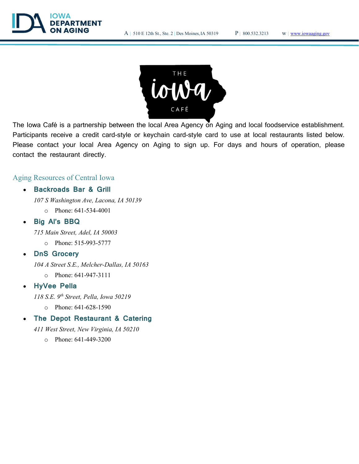



The Iowa Café is a partnership between the local Area Agency on Aging and local foodservice establishment. Participants receive a credit card-style or keychain card-style card to use at local restaurants listed below. Please contact your local Area Agency on Aging to sign up. For days and hours of operation, please contact the restaurant directly.

# Aging Resources of Central Iowa

### Backroads Bar & Grill

107 S Washington Ave, Lacona, IA 50139

o Phone: 641-534-4001

#### Big Al's BBQ

715 Main Street, Adel, IA 50003

o Phone: 515-993-5777

### DnS Grocery

104 A Street S.E., Melcher-Dallas, IA 50163

o Phone: 641-947-3111

#### HyVee Pella

118 S.E.  $9^{th}$  Street, Pella, Iowa 50219

o Phone: 641-628-1590

# The Depot Restaurant & Catering

411 West Street, New Virginia, IA 50210

o Phone: 641-449-3200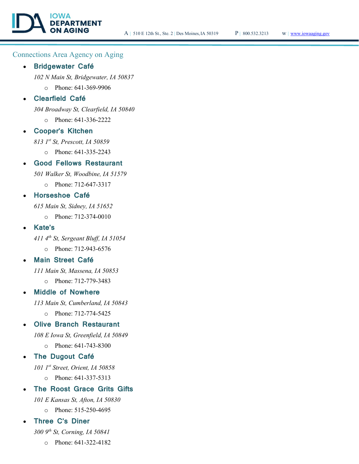# Connections Area Agency on Aging

#### Bridgewater Café

102 N Main St, Bridgewater, IA 50837

o Phone: 641-369-9906

# Clearfield Café

304 Broadway St, Clearfield, IA 50840

o Phone: 641-336-2222

#### Cooper's Kitchen

813 1st St, Prescott, IA 50859

o Phone: 641-335-2243

#### Good Fellows Restaurant

501 Walker St, Woodbine, IA 51579

o Phone: 712-647-3317

#### Horseshoe Café

615 Main St, Sidney, IA 51652

o Phone: 712-374-0010

#### Kate's

411  $4<sup>th</sup>$  St, Sergeant Bluff, IA 51054

o Phone: 712-943-6576

### Main Street Café

111 Main St, Massena, IA 50853

o Phone: 712-779-3483

### Middle of Nowhere

113 Main St, Cumberland, IA 50843

o Phone: 712-774-5425

#### Olive Branch Restaurant

108 E Iowa St, Greenfield, IA 50849

o Phone: 641-743-8300

### The Dugout Café

101  $1^{st}$  Street, Orient, IA 50858

o Phone: 641-337-5313

## The Roost Grace Grits Gifts

101 E Kansas St, Afton, IA 50830

o Phone: 515-250-4695

# Three C's Diner

300  $9<sup>th</sup>$  St, Corning, IA 50841

o Phone: 641-322-4182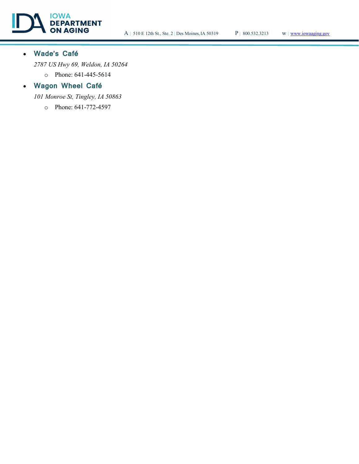

# Wade's Café

2787 US Hwy 69, Weldon, IA 50264

o Phone: 641-445-5614

# Wagon Wheel Café

101 Monroe St, Tingley, IA 50863

o Phone: 641-772-4597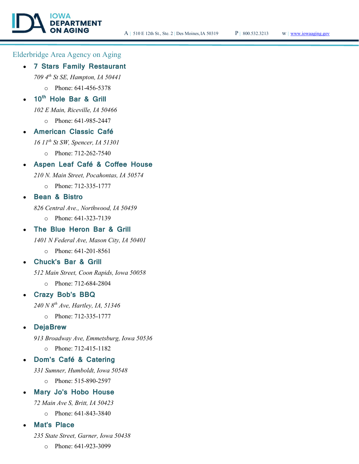# Elderbridge Area Agency on Aging

#### 7 Stars Family Restaurant

709  $4^{th}$  St SE, Hampton, IA 50441

**PARTMENT** 

o Phone: 641-456-5378

# 10<sup>th</sup> Hole Bar & Grill

102 E Main, Riceville, IA 50466

- o Phone: 641-985-2447
- American Classic Café

16  $11^{th}$  St SW, Spencer, IA 51301

o Phone: 712-262-7540

## Aspen Leaf Café & Coffee House

210 N. Main Street, Pocahontas, IA 50574

o Phone: 712-335-1777

# Bean & Bistro

826 Central Ave., Northwood, IA 50459

o Phone: 641-323-7139

### The Blue Heron Bar & Grill

1401 N Federal Ave, Mason City, IA 50401

o Phone: 641-201-8561

# Chuck's Bar & Grill

512 Main Street, Coon Rapids, Iowa 50058

o Phone: 712-684-2804

## Crazy Bob's BBQ

 $240$  N  $8^{th}$  Ave, Hartley, IA, 51346

o Phone: 712-335-1777

### **DejaBrew**

913 Broadway Ave, Emmetsburg, Iowa 50536

o Phone: 712-415-1182

#### Dom's Café & Catering

331 Sumner, Humboldt, Iowa 50548

o Phone: 515-890-2597

#### Mary Jo's Hobo House

72 Main Ave S, Britt, IA 50423

o Phone: 641-843-3840

### Mat's Place

235 State Street, Garner, Iowa 50438

o Phone: 641-923-3099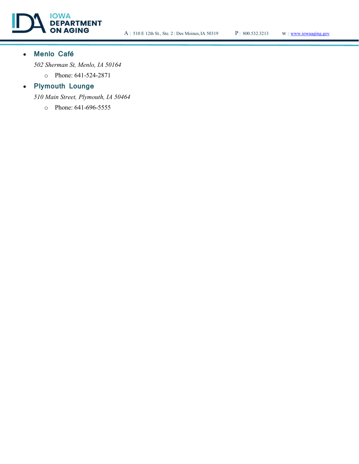

# Menlo Café

502 Sherman St, Menlo, IA 50164

o Phone: 641-524-2871

# • Plymouth Lounge

510 Main Street, Plymouth, IA 50464

o Phone: 641-696-5555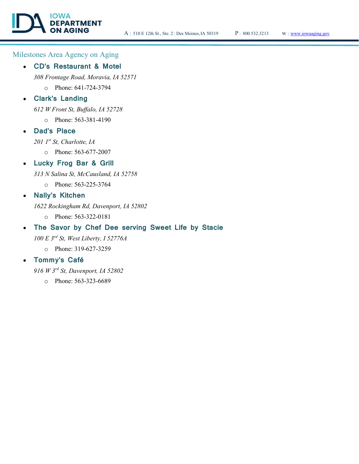# Milestones Area Agency on Aging

OWA

#### CD's Restaurant & Motel

**DEPARTMENT** 

308 Frontage Road, Moravia, IA 52571

o Phone: 641-724-3794

# Clark's Landing

612 W Front St, Buffalo, IA 52728

o Phone: 563-381-4190

# Dad's Place

 $201$   $I<sup>st</sup>$  St, Charlotte, IA

o Phone: 563-677-2007

# Lucky Frog Bar & Grill

313 N Salina St, McCausland, IA 52758

o Phone: 563-225-3764

### Nally's Kitchen

1622 Rockingham Rd, Davenport, IA 52802

o Phone: 563-322-0181

# The Savor by Chef Dee serving Sweet Life by Stacie

100 E 3rd St, West Liberty, I 52776A

o Phone: 319-627-3259

# Tommy's Café

916 W 3rd St, Davenport, IA 52802

o Phone: 563-323-6689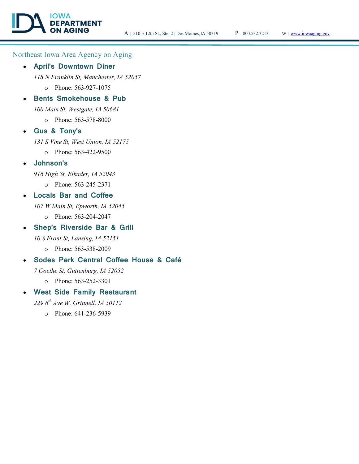# Northeast Iowa Area Agency on Aging

#### April's Downtown Diner

118 N Franklin St, Manchester, IA 52057

o Phone: 563-927-1075

### Bents Smokehouse & Pub

100 Main St, Westgate, IA 50681

o Phone: 563-578-8000

### Gus & Tony's

131 S Vine St, West Union, IA 52175

- o Phone: 563-422-9500
- Johnson's

916 High St, Elkader, IA 52043

o Phone: 563-245-2371

### Locals Bar and Coffee

107 W Main St, Epworth, IA 52045

o Phone: 563-204-2047

# Shep's Riverside Bar & Grill

10 S Front St, Lansing, IA 52151

o Phone: 563-538-2009

# Sodes Perk Central Coffee House & Café

7 Goethe St, Guttenburg, IA 52052

o Phone: 563-252-3301

# West Side Family Restaurant

229  $6<sup>th</sup>$  Ave W, Grinnell, IA 50112

o Phone: 641-236-5939